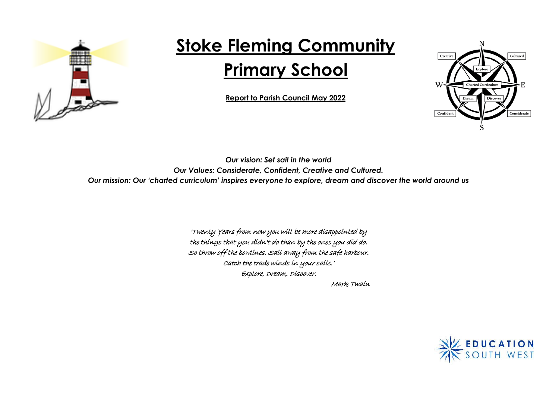

## **Stoke Fleming Community**

## **Primary School**

**Report to Parish Council May 2022**



*Our vision: Set sail in the world Our Values: Considerate, Confident, Creative and Cultured. Our mission: Our 'charted curriculum' inspires everyone to explore, dream and discover the world around us*

> 'Twenty Years from now you will be more disappointed by the things that you didn't do than by the ones you did do. So throw off the bowlines. Sail away from the safe harbour. Catch the trade winds in your sails.' Explore, Dream, Discover.

Mark Twain

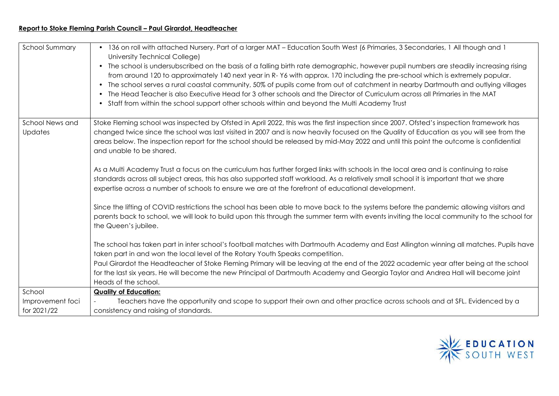## **Report to Stoke Fleming Parish Council – Paul Girardot, Headteacher**

| <b>School Summary</b>                     | • 136 on roll with attached Nursery. Part of a larger MAT – Education South West (6 Primaries, 3 Secondaries, 1 All though and 1<br>University Technical College)<br>• The school is undersubscribed on the basis of a falling birth rate demographic, however pupil numbers are steadily increasing rising<br>from around 120 to approximately 140 next year in R-Y6 with approx. 170 including the pre-school which is extremely popular.<br>The school serves a rural coastal community, 50% of pupils come from out of catchment in nearby Dartmouth and outlying villages<br>$\bullet$<br>The Head Teacher is also Executive Head for 3 other schools and the Director of Curriculum across all Primaries in the MAT<br>Staff from within the school support other schools within and beyond the Multi Academy Trust |
|-------------------------------------------|---------------------------------------------------------------------------------------------------------------------------------------------------------------------------------------------------------------------------------------------------------------------------------------------------------------------------------------------------------------------------------------------------------------------------------------------------------------------------------------------------------------------------------------------------------------------------------------------------------------------------------------------------------------------------------------------------------------------------------------------------------------------------------------------------------------------------|
| School News and<br>Updates                | Stoke Fleming school was inspected by Ofsted in April 2022, this was the first inspection since 2007. Ofsted's inspection framework has<br>changed twice since the school was last visited in 2007 and is now heavily focused on the Quality of Education as you will see from the<br>areas below. The inspection report for the school should be released by mid-May 2022 and until this point the outcome is confidential<br>and unable to be shared.                                                                                                                                                                                                                                                                                                                                                                   |
|                                           | As a Multi Academy Trust a focus on the curriculum has further forged links with schools in the local area and is continuing to raise<br>standards across all subject areas, this has also supported staff workload. As a relatively small school it is important that we share<br>expertise across a number of schools to ensure we are at the forefront of educational development.                                                                                                                                                                                                                                                                                                                                                                                                                                     |
|                                           | Since the lifting of COVID restrictions the school has been able to move back to the systems before the pandemic allowing visitors and<br>parents back to school, we will look to build upon this through the summer term with events inviting the local community to the school for<br>the Queen's jubilee.                                                                                                                                                                                                                                                                                                                                                                                                                                                                                                              |
|                                           | The school has taken part in inter school's football matches with Dartmouth Academy and East Allington winning all matches. Pupils have<br>taken part in and won the local level of the Rotary Youth Speaks competition.<br>Paul Girardot the Headteacher of Stoke Fleming Primary will be leaving at the end of the 2022 academic year after being at the school<br>for the last six years. He will become the new Principal of Dartmouth Academy and Georgia Taylor and Andrea Hall will become joint<br>Heads of the school.                                                                                                                                                                                                                                                                                           |
| School<br>Improvement foci<br>for 2021/22 | <b>Quality of Education:</b><br>Teachers have the opportunity and scope to support their own and other practice across schools and at SFL. Evidenced by a<br>consistency and raising of standards.                                                                                                                                                                                                                                                                                                                                                                                                                                                                                                                                                                                                                        |

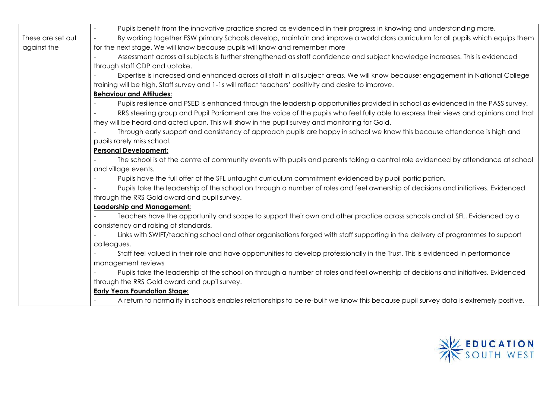|                   | Pupils benefit from the innovative practice shared as evidenced in their progress in knowing and understanding more.                                               |
|-------------------|--------------------------------------------------------------------------------------------------------------------------------------------------------------------|
| These are set out | By working together ESW primary Schools develop, maintain and improve a world class curriculum for all pupils which equips them                                    |
| against the       | for the next stage. We will know because pupils will know and remember more                                                                                        |
|                   | Assessment across all subjects is further strengthened as staff confidence and subject knowledge increases. This is evidenced                                      |
|                   | through staff CDP and uptake.                                                                                                                                      |
|                   | Expertise is increased and enhanced across all staff in all subject areas. We will know because; engagement in National College                                    |
|                   | training will be high, Staff survey and 1-1s will reflect teachers' positivity and desire to improve.                                                              |
|                   | <b>Behaviour and Attitudes:</b>                                                                                                                                    |
|                   | Pupils resilience and PSED is enhanced through the leadership opportunities provided in school as evidenced in the PASS survey.                                    |
|                   | RRS steering group and Pupil Parliament are the voice of the pupils who feel fully able to express their views and opinions and that                               |
|                   | they will be heard and acted upon. This will show in the pupil survey and monitoring for Gold.                                                                     |
|                   | Through early support and consistency of approach pupils are happy in school we know this because attendance is high and                                           |
|                   | pupils rarely miss school.                                                                                                                                         |
|                   | <b>Personal Development:</b>                                                                                                                                       |
|                   | The school is at the centre of community events with pupils and parents taking a central role evidenced by attendance at school                                    |
|                   | and village events.                                                                                                                                                |
|                   | Pupils have the full offer of the SFL untaught curriculum commitment evidenced by pupil participation.                                                             |
|                   | Pupils take the leadership of the school on through a number of roles and feel ownership of decisions and initiatives. Evidenced                                   |
|                   | through the RRS Gold award and pupil survey.                                                                                                                       |
|                   | <b>Leadership and Management:</b>                                                                                                                                  |
|                   | Teachers have the opportunity and scope to support their own and other practice across schools and at SFL. Evidenced by a<br>consistency and raising of standards. |
|                   | Links with SWIFT/teaching school and other organisations forged with staff supporting in the delivery of programmes to support                                     |
|                   | colleagues.                                                                                                                                                        |
|                   | Staff feel valued in their role and have opportunities to develop professionally in the Trust. This is evidenced in performance                                    |
|                   | management reviews                                                                                                                                                 |
|                   | Pupils take the leadership of the school on through a number of roles and feel ownership of decisions and initiatives. Evidenced                                   |
|                   | through the RRS Gold award and pupil survey.                                                                                                                       |
|                   | <b>Early Years Foundation Stage:</b>                                                                                                                               |
|                   | A return to normality in schools enables relationships to be re-built we know this because pupil survey data is extremely positive.                                |
|                   |                                                                                                                                                                    |

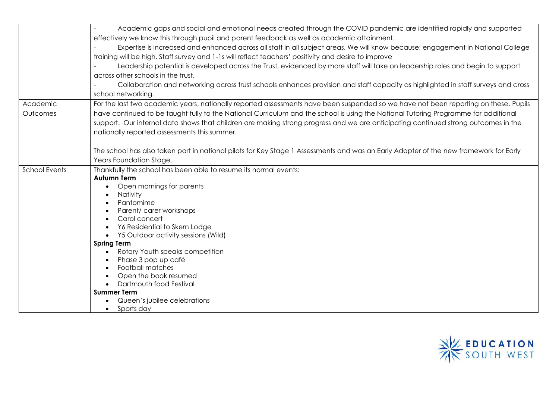|                      | Academic gaps and social and emotional needs created through the COVID pandemic are identified rapidly and supported                  |
|----------------------|---------------------------------------------------------------------------------------------------------------------------------------|
|                      | effectively we know this through pupil and parent feedback as well as academic attainment.                                            |
|                      | Expertise is increased and enhanced across all staff in all subject areas. We will know because; engagement in National College       |
|                      | training will be high, Staff survey and 1-1s will reflect teachers' positivity and desire to improve                                  |
|                      | Leadership potential is developed across the Trust, evidenced by more staff will take on leadership roles and begin to support        |
|                      | across other schools in the trust.                                                                                                    |
|                      | Collaboration and networking across trust schools enhances provision and staff capacity as highlighted in staff surveys and cross     |
|                      | school networking.                                                                                                                    |
| Academic             | For the last two academic years, nationally reported assessments have been suspended so we have not been reporting on these. Pupils   |
| Outcomes             | have continued to be taught fully to the National Curriculum and the school is using the National Tutoring Programme for additional   |
|                      | support. Our internal data shows that children are making strong progress and we are anticipating continued strong outcomes in the    |
|                      | nationally reported assessments this summer.                                                                                          |
|                      |                                                                                                                                       |
|                      | The school has also taken part in national pilots for Key Stage 1 Assessments and was an Early Adopter of the new framework for Early |
|                      | Years Foundation Stage.                                                                                                               |
| <b>School Events</b> | Thankfully the school has been able to resume its normal events:                                                                      |
|                      | <b>Autumn Term</b>                                                                                                                    |
|                      | Open mornings for parents                                                                                                             |
|                      | Nativity                                                                                                                              |
|                      | Pantomime                                                                                                                             |
|                      | Parent/ carer workshops<br>Carol concert                                                                                              |
|                      | Y6 Residential to Skern Lodge                                                                                                         |
|                      | Y5 Outdoor activity sessions (Wild)                                                                                                   |
|                      | <b>Spring Term</b>                                                                                                                    |
|                      | Rotary Youth speaks competition                                                                                                       |
|                      | Phase 3 pop up café                                                                                                                   |
|                      | <b>Football matches</b>                                                                                                               |
|                      | Open the book resumed                                                                                                                 |
|                      | Dartmouth food Festival                                                                                                               |
|                      | <b>Summer Term</b>                                                                                                                    |
|                      | Queen's jubilee celebrations                                                                                                          |
|                      | Sports day                                                                                                                            |